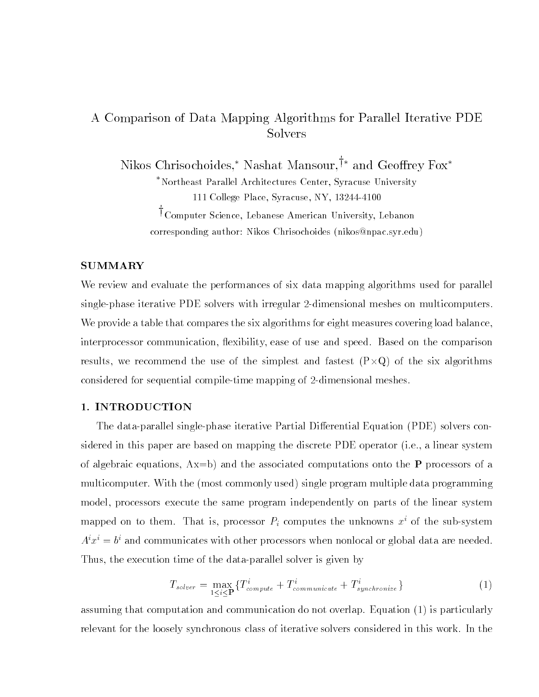# A Comparison of Data Mapping Algorithms for Parallel Iterative PDE Solvers

Nikos Chrisochoides,\* Nashat Mansour, $\dagger$ \* and Geoffrey Fox\*

Northeast Parallel Architectures Center, Syracuse University 111 College Place, Syracuse, NY, 13244-4100

<sup>†</sup>Computer Science, Lebanese American University, Lebanon corresponding author: Nikos Chrisochoides (nikos@npac.syr.edu)

# SUMMARY

We review and evaluate the performances of six data mapping algorithms used for parallel single-phase iterative PDE solvers with irregular 2-dimensional meshes on multicomputers. We provide a table that compares the six algorithms for eight measures covering load balance, interprocessor communication, flexibility, ease of use and speed. Based on the comparison results, we recommend the use of the simplest and fastest  $\mathcal{C}$  of the simplest and fastest  $\mathcal{C}$ considered for sequential compile-time mapping of 2-dimensional meshes.

# 1. INTRODUCTION

The data-parallel single-phase iterative Partial Differential Equation (PDE) solvers considered in this paper are based on mapping the discrete PDE operator (i.e., a linear system of algebraic equations,  $Ax=b$ ) and the associated computations onto the **P** processors of a multicomputer. With the (most commonly used) single program multiple data programming model, processors execute the same program independently on parts of the linear system mapped on to them. That is, processor  $P_i$  computes the unknowns  $x^i$  of the sub-system  $A^\ast x^\ast = v^\ast$  and communicates with other processors when nonlocal or global data are needed. Thus, the execution time of the data-parallel solver is given by

$$
T_{solver} = \max_{1 \le i \le P} \{ T_{compute}^i + T_{communicate}^i + T_{synchronization}^i \}
$$
 (1)

assuming that computation and communication do not overlap. Equation (1) is particularly relevant for the loosely synchronous class of iterative solvers considered in this work. In the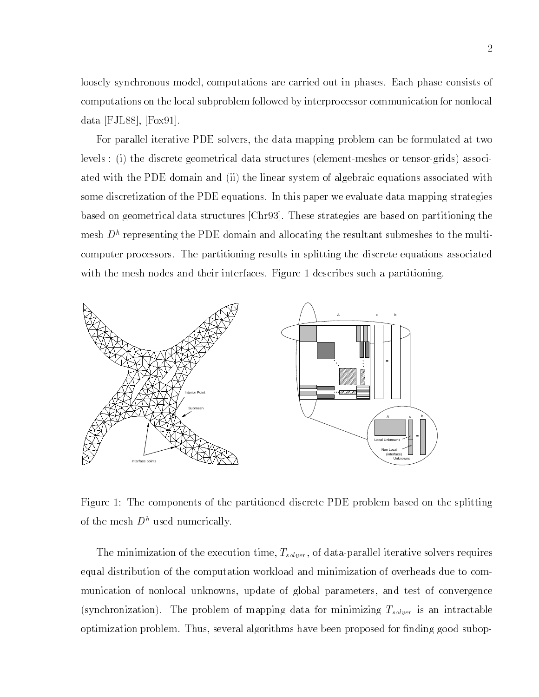loosely synchronous model, computations are carried out in phases. Each phase consists of computations on the local subproblem followed by interprocessor communication for nonlocal data [FJL88], [Fox91].

For parallel iterative PDE solvers, the data mapping problem can be formulated at two levels : (i) the discrete geometrical data structures (element-meshes or tensor-grids) associated with the PDE domain and (ii) the linear system of algebraic equations associated with some discretization of the PDE equations. In this paper we evaluate data mapping strategies based on geometrical data structures [Chr93]. These strategies are based on partitioning the  $m_{\rm B}$  depresenting the PDE domain and allocating the resultant submeshes to the multicomputer processors. The partitioning results in splitting the discrete equations associated with the mesh nodes and their interfaces. Figure 1 describes such a partitioning.



Figure 1: The components of the partitioned discrete PDE problem based on the splitting of the mesh  $D^h$  used numerically.

The minimization of the execution time,  $T_{solver}$ , of data-parallel iterative solvers requires equal distribution of the computation workload and minimization of overheads due to communication of nonlocal unknowns, update of global parameters, and test of convergence (synchronization). The problem of mapping data for minimizing  $T_{solver}$  is an intractable optimization problem. Thus, several algorithms have been proposed for finding good subop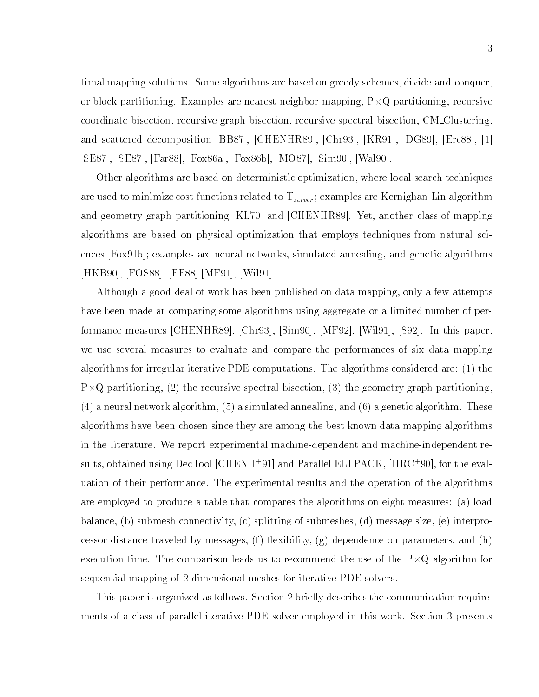timal mapping solutions. Some algorithms are based on greedy schemes, divide-and-conquer, or block partitioning. Examples are nearest neighbor mapping, P-Q partitioning, recursive coordinate bisection, recursive graph bisection, recursive spectral bisection, CM Clustering, and scattered decomposition [BB87], [CHENHR89], [Chr93], [KR91], [DG89], [Erc88], [1] [SE87], [SE87], [Far88], [Fox86a], [Fox86b], [MO87], [Sim90], [Wal90].

Other algorithms are based on deterministic optimization, where local search techniques are used to minimize cost functions related to  $T_{solver}$ ; examples are Kernighan-Lin algorithm and geometry graph partitioning [KL70] and [CHENHR89]. Yet, another class of mapping algorithms are based on physical optimization that employs techniques from natural sciences [Fox91b]; examples are neural networks, simulated annealing, and genetic algorithms [HKB90], [FOS88], [FF88] [MF91], [Wil91].

Although a good deal of work has been published on data mapping, only a few attempts have been made at comparing some algorithms using aggregate or a limited number of performance measures [CHENHR89], [Chr93], [Sim90], [MF92], [Wil91], [S92]. In this paper, we use several measures to evaluate and compare the performances of six data mapping algorithms for irregular iterative PDE computations. The algorithms considered are: (1) the P-Q partitioning, (2) the recursive spectral bisection, (3) the geometry graph partitioning,  $(4)$  a neural network algorithm,  $(5)$  a simulated annealing, and  $(6)$  a genetic algorithm. These algorithms have been chosen since they are among the best known data mapping algorithms in the literature. We report experimental machine-dependent and machine-independent results, obtained using DecTool  $|$ CHENH+91] and Parallel ELLPACK,  $|{\rm H}{\rm K}{\rm U}$ +90], for the evaluation of their performance. The experimental results and the operation of the algorithms are employed to produce a table that compares the algorithms on eight measures: (a) load balance, (b) submesh connectivity, (c) splitting of submeshes, (d) message size, (e) interprocessor distance traveled by messages,  $(f)$  flexibility,  $(g)$  dependence on parameters, and  $(h)$ execution time. The comparison leads use of the use of the use of the use of the  $\mathcal{O}(1)$ sequential mapping of 2-dimensional meshes for iterative PDE solvers.

This paper is organized as follows. Section 2 briefly describes the communication requirements of a class of parallel iterative PDE solver employed in this work. Section 3 presents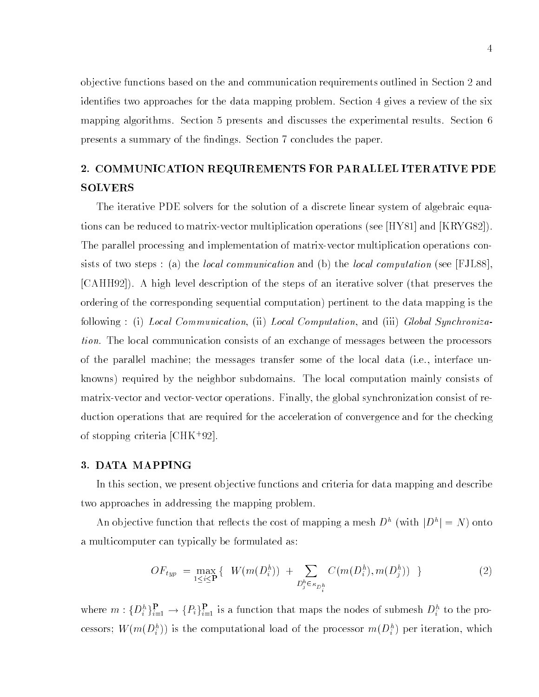ob jective functions based on the and communication requirements outlined in Section 2 and identifies two approaches for the data mapping problem. Section 4 gives a review of the six mapping algorithms. Section 5 presents and discusses the experimental results. Section 6 presents a summary of the findings. Section 7 concludes the paper.

# 2. COMMUNICATION REQUIREMENTS FOR PARALLEL ITERATIVE PDE SOLVERS

The iterative PDE solvers for the solution of a discrete linear system of algebraic equations can be reduced to matrix-vector multiplication operations (see [HY81] and [KRYG82]). The parallel processing and implementation of matrix-vector multiplication operations consists of two steps : (a) the *local communication* and (b) the *local computation* (see [FJL88], [CAHH92]). A high level description of the steps of an iterative solver (that preserves the ordering of the corresponding sequential computation) pertinent to the data mapping is the following : (i) Local Communication, (ii) Local Computation, and (iii) Global Synchronization. The local communication consists of an exchange of messages between the processors of the parallel machine; the messages transfer some of the local data (i.e., interface unknowns) required by the neighbor subdomains. The local computation mainly consists of matrix-vector and vector-vector operations. Finally, the global synchronization consist of reduction operations that are required for the acceleration of convergence and for the checking of stopping criteria [CHK<sup>+</sup> 92].

#### 3. DATA MAPPING

In this section, we present ob jective functions and criteria for data mapping and describe two approaches in addressing the mapping problem.

An objective function that reflects the cost of mapping a mesh  $D_{-}$  (with  $|D_{-}| = N$ ) onto a multicomputer can typically be formulated as:

$$
OF_{typ} = \max_{1 \le i \le P} \{ W(m(D_i^h)) + \sum_{D_j^h \in \kappa_{D_i^h}} C(m(D_i^h), m(D_j^h)) \}
$$
 (2)

where  $m: \{D_i^r\}_{i=1}^{\infty} \to \{F_i\}_{i=1}^{\infty}$  is a function that maps the nodes of submesh  $D_i^r$  to the processors; w  $(m(D_i))$  is the computational load of the processor  $m(D_i)$  per iteration, which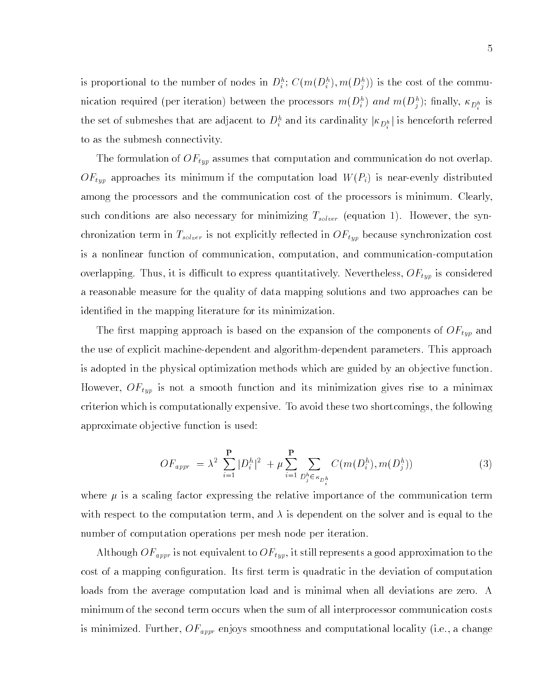is proportional to the number of nodes in  $D_i$ ; C( $m(D_i)$ ,  $m(D_j)$ ) is the cost of the commuincation required (per iteration) between the processors  $m(\overline{D_i^*})$  and  $m(\overline{D_j^*})$ ; mially,  $\kappa_{\overline{D_i^h}}$  is the set of submeshes that are adjacent to  $D_i$  and its cardinality  $|\kappa_{D_i^h}|$  is henceforth referred to as the submesh connectivity.

The formulation of  $OF_{typ}$  assumes that computation and communication do not overlap.  $OF_{typ}$  approaches its minimum if the computation load  $W(P_i)$  is near-evenly distributed among the processors and the communication cost of the processors is minimum. Clearly, such conditions are also necessary for minimizing  $T_{solver}$  (equation 1). However, the synchronization term in  $T_{solver}$  is not explicitly reflected in  $OF_{typ}$  because synchronization cost is a nonlinear function of communication, computation, and communication-computation overlapping. Thus, it is difficult to express quantitatively. Nevertheless,  $OF_{typ}$  is considered a reasonable measure for the quality of data mapping solutions and two approaches can be identied in the mapping literature for its minimization.

The first mapping approach is based on the expansion of the components of  $\mathit{OF}_{typ}$  and the use of explicit machine-dependent and algorithm-dependent parameters. This approach is adopted in the physical optimization methods which are guided by an ob jective function. However,  $OF_{typ}$  is not a smooth function and its minimization gives rise to a minimax criterion which is computationally expensive. To avoid these two shortcomings, the following approximate ob jective function is used:

$$
OF_{appr} = \lambda^2 \sum_{i=1}^{P} |D_i^h|^2 + \mu \sum_{i=1}^{P} \sum_{D_j^h \in \kappa_{D_i^h}} C(m(D_i^h), m(D_j^h))
$$
(3)

where  $\mu$  is a scaling factor expressing the relative importance of the communication term with respect to the computation term, and  $\lambda$  is dependent on the solver and is equal to the number of computation operations per mesh node per iteration.

Although  $OF_{appr}$  is not equivalent to  $OF_{typ}$ , it still represents a good approximation to the cost of a mapping configuration. Its first term is quadratic in the deviation of computation loads from the average computation load and is minimal when all deviations are zero. A minimum of the second term occurs when the sum of all interprocessor communication costs is minimized. Further,  $OF_{appr}$  enjoys smoothness and computational locality (i.e., a change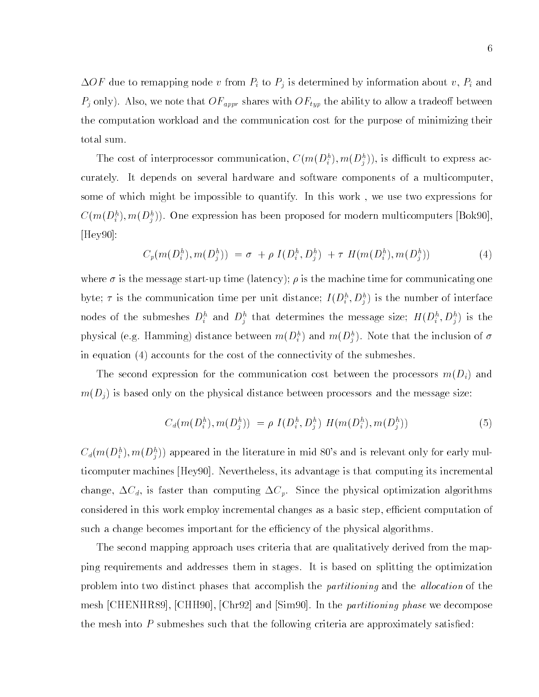$\Delta OF$  due to remapping node v from  $P_i$  to  $P_j$  is determined by information about v,  $P_i$  and  $P_j$  only). Also, we note that  $OF_{appr}$  shares with  $OF_{typ}$  the ability to allow a tradeoff between the computation workload and the communication cost for the purpose of minimizing their total sum.

The cost of interprocessor communication,  $C(m(D_i), m(D_i))$ , is difficult to express accurately. It depends on several hardware and software components of a multicomputer, some of which might be impossible to quantify. In this work , we use two expressions for  $C(m(D_i^{\tau}), m(D_i^{\tau}))$ . One expression has been proposed for modern multicomputers [BOK90], [Hey90]:

$$
C_p(m(D_i^h), m(D_j^h)) = \sigma + \rho I(D_i^h, D_j^h) + \tau H(m(D_i^h), m(D_j^h))
$$
\n(4)

where  $\sigma$  is the message start-up time (latency);  $\rho$  is the machine time for communicating one byte;  $\tau$  is the communication time per unit distance;  $I(D_i, D_j)$  is the number of interface hodes of the submeshes  $D_i^*$  and  $D_i^*$  that determines the message size;  $H(D_i^*, D_i^*)$  is the physical (e.g. Hamming) distance between  $m(D_i^*)$  and  $m(D_j^*)$  . Note that the inclusion of  $\sigma$ in equation (4) accounts for the cost of the connectivity of the submeshes.

The second expression for the communication cost between the processors  $m(D_i)$  and  $m(D_i)$  is based only on the physical distance between processors and the message size:

$$
C_d(m(D_i^h), m(D_j^h)) = \rho I(D_i^h, D_j^h) H(m(D_i^h), m(D_j^h))
$$
\n(5)

 $C_d(m(D_i^h),m(D_j^h))$  appeared in the literature in mid 80's and is relevant only for early multicomputer machines [Hey90]. Nevertheless, its advantage is that computing its incremental change,  $\Delta C_d$ , is faster than computing  $\Delta C_p$ . Since the physical optimization algorithms considered in this work employ incremental changes as a basic step, efficient computation of such a change becomes important for the efficiency of the physical algorithms.

The second mapping approach uses criteria that are qualitatively derived from the mapping requirements and addresses them in stages. It is based on splitting the optimization problem into two distinct phases that accomplish the *partitioning* and the *allocation* of the mesh [CHENHR89], [CHH90], [Chr92] and [Sim90]. In the partitioning phase we decompose the mesh into  $P$  submeshes such that the following criteria are approximately satisfied: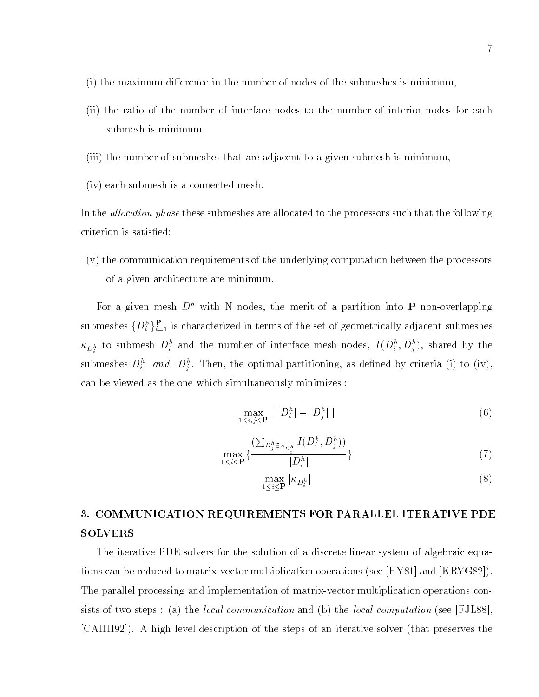- $(i)$  the maximum difference in the number of nodes of the submeshes is minimum.
- (ii) the ratio of the number of interface nodes to the number of interior nodes for each submesh is minimum,
- (iii) the number of submeshes that are adjacent to a given submesh is minimum,
- (iv) each submesh is a connected mesh.

In the *allocation phase* these submeshes are allocated to the processors such that the following criterion is satisfied:

(v) the communication requirements of the underlying computation between the processors of a given architecture are minimum.

For a given mesh  $D^h$  with N nodes, the merit of a partition into **P** non-overlapping submeshes  $\{D_i^r\}_{i=1}^{\tau}$  is characterized in terms of the set of geometrically adjacent submeshes  $\kappa_{D_i^h}$  to submesh  $D_i$  and the number of interface mesh nodes,  $I(D_i, D_j)$ , shared by the submeshes  $D_i^{\perp}$  and  $D_j^{\perp}$ . Then, the optimal partitioning, as defined by criteria (i) to (iv), can be viewed as the one which simultaneously minimizes :

$$
\max_{1 \le i,j \le P} | |D_i^h| - |D_j^h| | \tag{6}
$$

$$
\max_{1 \le i \le \mathbf{P}} \{ \frac{\left(\sum_{D_j^h \in \kappa_{D_i^h}} I(D_i^h, D_j^h)\right)}{|D_i^h|} \} \tag{7}
$$

$$
\max_{1 \le i \le \mathbf{P}} |\kappa_{D_i^h}| \tag{8}
$$

# 3. COMMUNICATION REQUIREMENTS FOR PARALLEL ITERATIVE PDE SOLVERS

The iterative PDE solvers for the solution of a discrete linear system of algebraic equations can be reduced to matrix-vector multiplication operations (see [HY81] and [KRYG82]). The parallel processing and implementation of matrix-vector multiplication operations consists of two steps : (a) the *local communication* and (b) the *local computation* (see [FJL88], [CAHH92]). A high level description of the steps of an iterative solver (that preserves the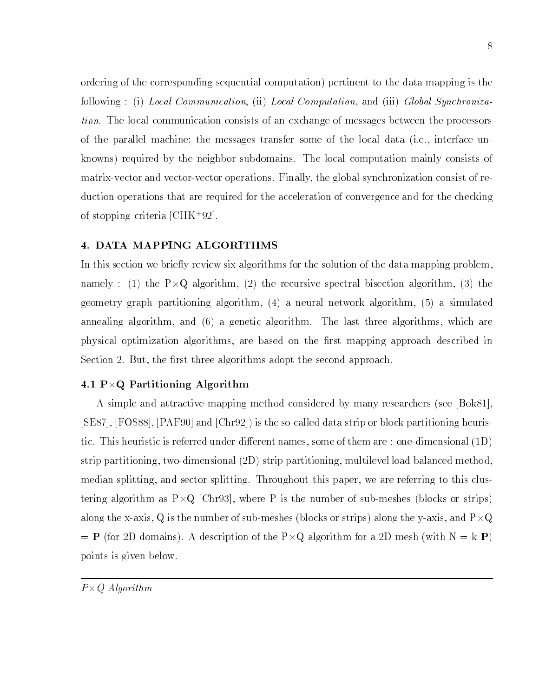ordering of the corresponding sequential computation) pertinent to the data mapping is the following : (i) Local Communication, (ii) Local Computation, and (iii) Global Synchronization. The local communication consists of an exchange of messages between the processors of the parallel machine; the messages transfer some of the local data (i.e., interface unknowns) required by the neighbor subdomains. The local computation mainly consists of matrix-vector and vector-vector operations. Finally, the global synchronization consist of reduction operations that are required for the acceleration of convergence and for the checking of stopping criteria [CHK+92].

### 4. DATA MAPPING ALGORITHMS

In this section we briefly review six algorithms for the solution of the data mapping problem, namely : (1) the P-Q algorithm, (2) the recursive spectral bisection algorithm, (3) the geometry graph partitioning algorithm, (4) a neural network algorithm, (5) a simulated annealing algorithm, and (6) a genetic algorithm. The last three algorithms, which are physical optimization algorithms, are based on the first mapping approach described in Section 2. But, the first three algorithms adopt the second approach.

# $\mathbf{1}$  P-R Partitioning Algorithm Algorithm Algorithm Algorithm Algorithm Algorithm Algorithm Algorithm Algorithm Algorithm Algorithm Algorithm Algorithm Algorithm Algorithm Algorithm Algorithm Algorithm Algorithm Algor

A simple and attractive mapping method considered by many researchers (see [Bok81], [SE87], [FOS88], [PAF90] and [Chr92]) is the so-called data strip or block partitioning heuristic. This heuristic is referred under different names, some of them are : one-dimensional  $(1D)$ strip partitioning, two-dimensional (2D) strip partitioning, multilevel load balanced method, median splitting, and sector splitting. Throughout this paper, we are referring to this clustering algorithm as P-D-S-P-Li  $\alpha$  is the number of sub-meshes (blocks or strips) and sub-meshes (blocks or strips) along the mesh  $\mathbf{q}_i$  is the number of sub-meshes (blocks) along the y-axis, and P-axis, and P-axis, and P-= P (for 2D domains). A description of the P-Q algorithm for a 2D mesh (with N = k P) points is given below.

P-Q Algorithm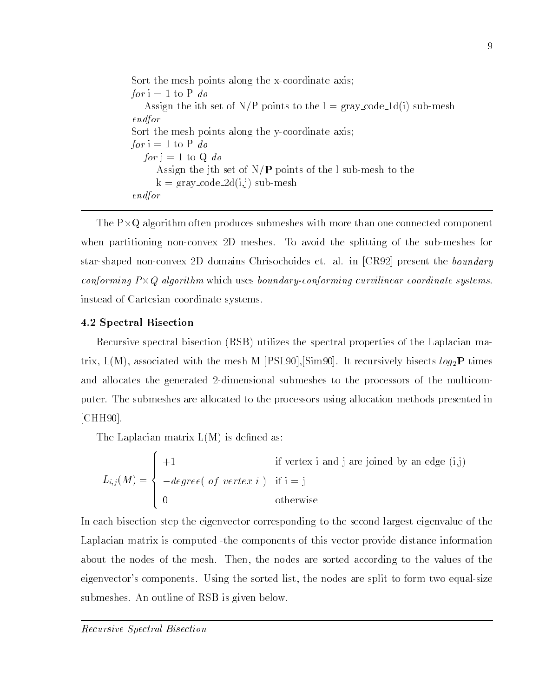Sort the mesh points along the x-coordinate axis; for  $i = 1$  to P do Assign the ith set of N/P points to the  $l = \text{gray\_code\_ld}(i)$  sub-mesh endfor Sort the mesh points along the y-coordinate axis; for  $i = 1$  to P do for  $j = 1$  to Q do Assign the jth set of  $N/P$  points of the l sub-mesh to the  $k = \text{gray\_code\_2d}(i,j)$  sub-mesh endfor

The P-Q algorithm often produces submeshes with more than one connected component when partitioning non-convex 2D meshes. To avoid the splitting of the sub-meshes for star-shaped non-convex 2D domains Chrisochoides et. al. in [CR92] present the boundary conforming P-Q algorithm which uses boundary-conforming curvilinear coordinate systems. instead of Cartesian coordinate systems.

# 4.2 Spectral Bisection

Recursive spectral bisection (RSB) utilizes the spectral properties of the Laplacian matrix,  $L(M)$ , associated with the mesh M [PSL90],  $\text{Sim90}$ . It recursively bisects  $log_2 P$  times and allocates the generated 2-dimensional submeshes to the processors of the multicomputer. The submeshes are allocated to the processors using allocation methods presented in [CHH90].

The Laplacian matrix  $L(M)$  is defined as:

the state of the state of the state of the state of the state of the state of the state of the state of the state of

$$
L_{i,j}(M) = \begin{cases} +1 & \text{if vertex i and j are joined by an edge (i,j)}\\ -degree(\ of\ vertex\ i\ ) & \text{if i = j} \\ 0 & \text{otherwise} \end{cases}
$$

In each bisection step the eigenvector corresponding to the second largest eigenvalue of the Laplacian matrix is computed -the components of this vector provide distance information about the nodes of the mesh. Then, the nodes are sorted according to the values of the eigenvector's components. Using the sorted list, the nodes are split to form two equal-size submeshes. An outline of RSB is given below.

Recursive Spectral Bisection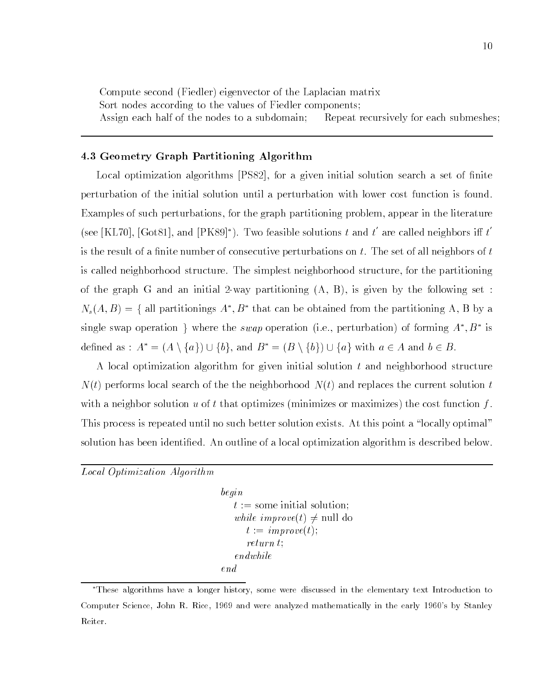Compute second (Fiedler) eigenvector of the Laplacian matrix Sort nodes according to the values of Fiedler components; Assign each half of the nodes to a subdomain; Repeat recursively for each submeshes;

## 4.3 Geometry Graph Partitioning Algorithm

Local optimization algorithms [PS82], for a given initial solution search a set of finite perturbation of the initial solution until a perturbation with lower cost function is found. Examples of such perturbations, for the graph partitioning problem, appear in the literature (see | KL70 |, | Got81 |, and  $|PK89|$ <sup>\*</sup>). Two feasible solutions t and t are called neighbors iff t is the result of a finite number of consecutive perturbations on  $t$ . The set of all neighbors of  $t$ is called neighborhood structure. The simplest neighborhood structure, for the partitioning of the graph G and an initial 2-way partitioning  $(A, B)$ , is given by the following set :  $N_s(A, B) = \{$  all partitionings  $A$  ,  $B$  -that can be obtained from the partitioning  $A, B$  by a single swap operation  $\gamma$  where the swap operation (i.e., perturbation) or forming A , B is defined as :  $A^* = (A \setminus \{a\}) \cup \{b\}$ , and  $B^* = (B \setminus \{b\}) \cup \{a\}$  with  $a \in A$  and  $b \in B$ .

A local optimization algorithm for given initial solution t and neighborhood structure  $N(t)$  performs local search of the the neighborhood  $N(t)$  and replaces the current solution t with a neighbor solution u of t that optimizes (minimizes or maximizes) the cost function  $f$ . This process is repeated until no such better solution exists. At this point a "locally optimal" solution has been identified. An outline of a local optimization algorithm is described below.

Local Optimization Algorithm

```
begin
   t := some initial solution;
   while improve(t) \neq null do
      t := \text{improve}(t);return t;
   endwhile
end
```
These algorithms have a longer history, some were discussed in the elementary text Introduction toComputer Science, John R. Rice, 1969 and were analyzed mathematically in the early 1960's by StanleyReiter.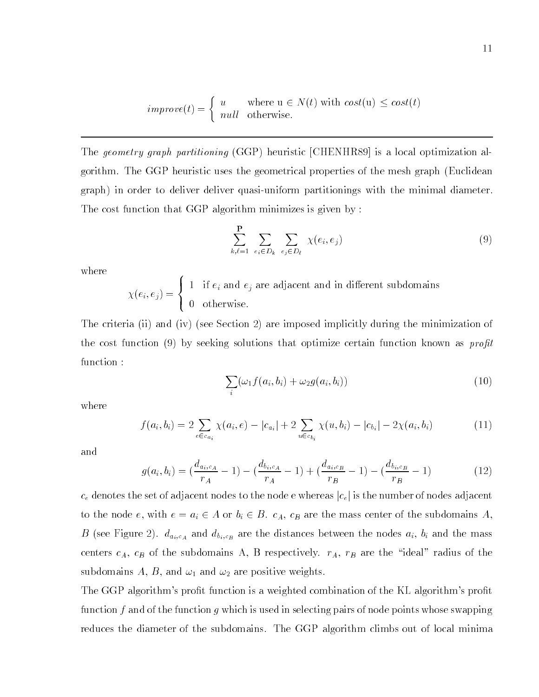$$
improve(t) = \begin{cases} u & \text{where } u \in N(t) \text{ with } cost(u) \le cost(t) \\ null & \text{otherwise.} \end{cases}
$$

The geometry graph partitioning (GGP) heuristic [CHENHR89] is a local optimization algorithm. The GGP heuristic uses the geometrical properties of the mesh graph (Euclidean graph) in order to deliver deliver quasi-uniform partitionings with the minimal diameter. The cost function that GGP algorithm minimizes is given by :

$$
\sum_{k,\ell=1}^{\mathbf{P}} \sum_{e_i \in D_k} \sum_{e_j \in D_\ell} \chi(e_i, e_j) \tag{9}
$$

where

 $\Lambda$ ,  $\Lambda$  -  $\mu$  ) =  $\mu$  ) =  $\Lambda$  $\blacksquare$ >: <sup>1</sup> if ei and ej are adjacent and in dierent subdomains

the contract of the contract of the contract of the contract of the contract of the contract of the contract of

The criteria (ii) and (iv) (see Section 2) are imposed implicitly during the minimization of the cost function (9) by seeking solutions that optimize certain function known as *profit* function :

$$
\sum_{i} (\omega_1 f(a_i, b_i) + \omega_2 g(a_i, b_i))
$$
\n(10)

where

$$
f(a_i, b_i) = 2 \sum_{e \in c_{a_i}} \chi(a_i, e) - |c_{a_i}| + 2 \sum_{u \in c_{b_i}} \chi(u, b_i) - |c_{b_i}| - 2\chi(a_i, b_i)
$$
(11)

and

$$
g(a_i, b_i) = \left(\frac{d_{a_i, c_A}}{r_A} - 1\right) - \left(\frac{d_{b_i, c_A}}{r_A} - 1\right) + \left(\frac{d_{a_i, c_B}}{r_B} - 1\right) - \left(\frac{d_{b_i, c_B}}{r_B} - 1\right)
$$
(12)

 $c_e$  denotes the set of adjacent nodes to the node e whereas  $|c_e|$  is the number of nodes adjacent to the node e, with  $e = a_i \in A$  or  $b_i \in B$ .  $c_A$ ,  $c_B$  are the mass center of the subdomains A, B (see Figure 2).  $d_{a_i,c_A}$  and  $d_{b_i,c_B}$  are the distances between the nodes  $a_i$ ,  $b_i$  and the mass centers  $c_A$ ,  $c_B$  of the subdomains A, B respectively.  $r_A$ ,  $r_B$  are the "ideal" radius of the subdomains A, B, and  $\omega_1$  and  $\omega_2$  are positive weights.

The GGP algorithm's profit function is a weighted combination of the KL algorithm's profit function f and of the function g which is used in selecting pairs of node points whose swapping reduces the diameter of the subdomains. The GGP algorithm climbs out of local minima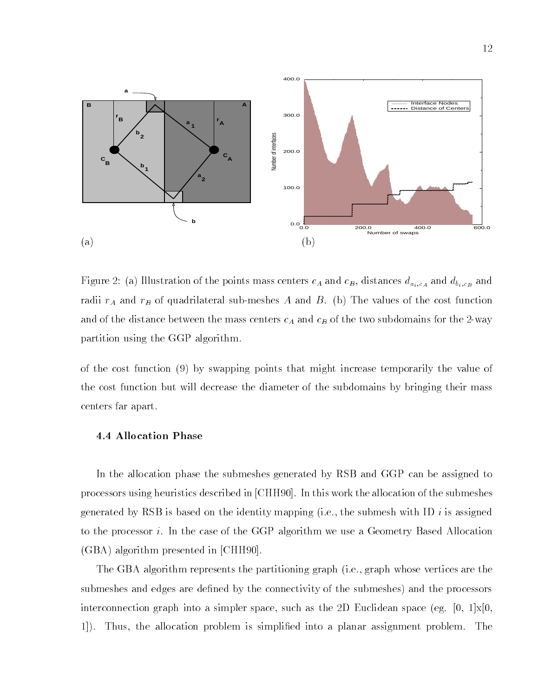

Figure 2: (a) Illustration of the points mass centers  $c_A$  and  $c_B$ , distances  $d_{a_i,c_A}$  and  $d_{b_i,c_B}$  and radii  $r_A$  and  $r_B$  of quadrilateral sub-meshes A and B. (b) The values of the cost function and of the distance between the mass centers  $c_A$  and  $c_B$  of the two subdomains for the 2-way partition using the GGP algorithm.

of the cost function (9) by swapping points that might increase temporarily the value of the cost function but will decrease the diameter of the subdomains by bringing their mass centers far apart.

## 4.4 Allocation Phase

In the allocation phase the submeshes generated by RSB and GGP can be assigned to processors using heuristics described in [CHH90]. In this work the allocation of the submeshes generated by RSB is based on the identity mapping (i.e., the submesh with ID i is assigned to the processor i. In the case of the GGP algorithm we use a Geometry Based Allocation (GBA) algorithm presented in [CHH90].

The GBA algorithm represents the partitioning graph (i.e., graph whose vertices are the submeshes and edges are defined by the connectivity of the submeshes) and the processors interconnection graph into a simpler space, such as the 2D Euclidean space (eg.  $[0, 1] \times [0, 1]$ 1]). Thus, the allocation problem is simplied into a planar assignment problem. The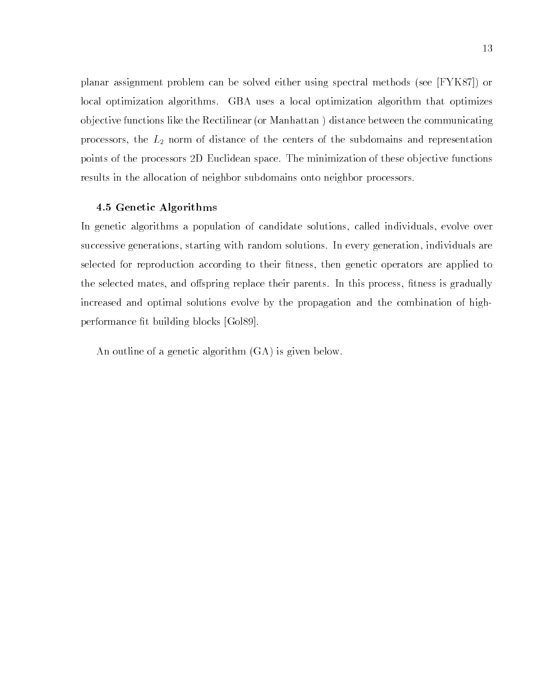planar assignment problem can be solved either using spectral methods (see [FYK87]) or local optimization algorithms. GBA uses a local optimization algorithm that optimizes ob jective functions like the Rectilinear (or Manhattan ) distance between the communicating processors, the  $L_2$  norm of distance of the centers of the subdomains and representation points of the processors 2D Euclidean space. The minimization of these objective functions results in the allocation of neighbor subdomains onto neighbor processors.

#### 4.5 Genetic Algorithms

In genetic algorithms a population of candidate solutions, called individuals, evolve over successive generations, starting with random solutions. In every generation, individuals are selected for reproduction according to their fitness, then genetic operators are applied to the selected mates, and offspring replace their parents. In this process, fitness is gradually increased and optimal solutions evolve by the propagation and the combination of highperformance fit building blocks [Gol89].

An outline of a genetic algorithm (GA) is given below.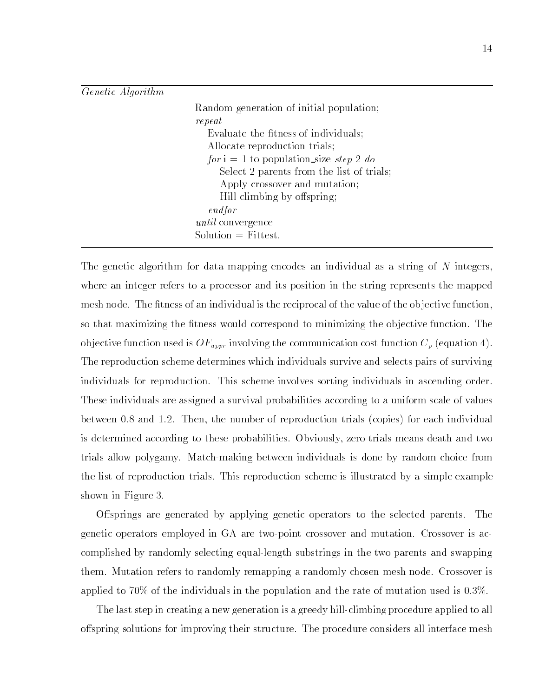### Genetic Algorithm

| Random generation of initial population;  |
|-------------------------------------------|
| repeat                                    |
| Evaluate the fitness of individuals;      |
| Allocate reproduction trials;             |
| $for i = 1$ to population size step 2 do  |
| Select 2 parents from the list of trials; |
| Apply crossover and mutation;             |
| Hill climbing by offspring;               |
| endfor                                    |
| <i>until</i> convergence                  |
| $Solution = \text{Fittest.}$              |

The genetic algorithm for data mapping encodes an individual as a string of N integers. where an integer refers to a processor and its position in the string represents the mapped mesh node. The fitness of an individual is the reciprocal of the value of the objective function, so that maximizing the fitness would correspond to minimizing the objective function. The objective function used is  $OF_{appr}$  involving the communication cost function  $C_p$  (equation 4). The reproduction scheme determines which individuals survive and selects pairs of surviving individuals for reproduction. This scheme involves sorting individuals in ascending order. These individuals are assigned a survival probabilities according to a uniform scale of values between 0.8 and 1.2. Then, the number of reproduction trials (copies) for each individual is determined according to these probabilities. Obviously, zero trials means death and two trials allow polygamy. Match-making between individuals is done by random choice from the list of reproduction trials. This reproduction scheme is illustrated by a simple example shown in Figure 3.

Offsprings are generated by applying genetic operators to the selected parents. The genetic operators employed in GA are two-point crossover and mutation. Crossover is accomplished by randomly selecting equal-length substrings in the two parents and swapping them. Mutation refers to randomly remapping a randomly chosen mesh node. Crossover is applied to 70% of the individuals in the population and the rate of mutation used is 0.3%.

The last step in creating a new generation is a greedy hill-climbing procedure applied to all offspring solutions for improving their structure. The procedure considers all interface mesh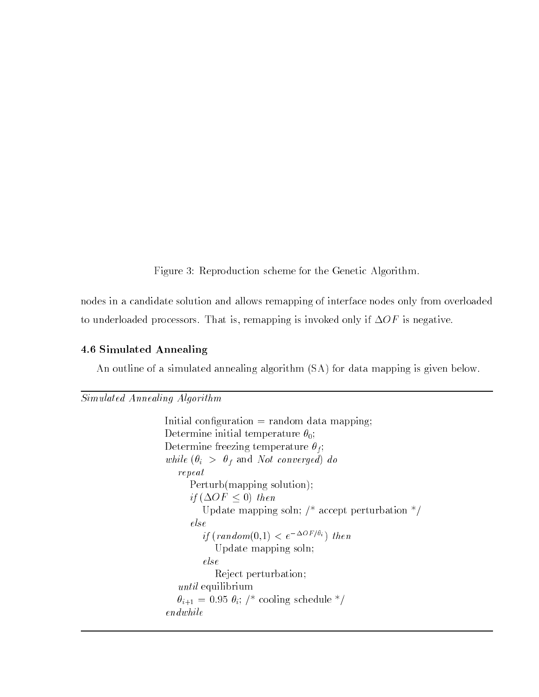Figure 3: Reproduction scheme for the Genetic Algorithm.

nodes in a candidate solution and allows remapping of interface nodes only from overloaded to underloaded processors. That is, remapping is invoked only if  $\Delta OF$  is negative.

# 4.6 Simulated Annealing

An outline of a simulated annealing algorithm (SA) for data mapping is given below.

# Simulated Annealing Algorithm

```
Initial configuration = random data mapping;
Determine initial temperature \theta_0;
Determine freezing temperature \theta_f;
while (\theta_i > \theta_f and Not converged) do
   repeat
      Perturb(mapping solution);
       if (OF \sim 0) then \sim 0) then \simUpdate mapping soln; \frac{1}{2} accept perturbation \frac{*}{2}else
          if \left(\text{random}(0,1) < e^{-\Delta OF/\theta_i}\right) then
             Update mapping soln;
          else
             Reject perturbation;
   until equilibrium
   \theta_{i+1} = 0.95 \theta_i; /* cooling schedule */
endwhile
```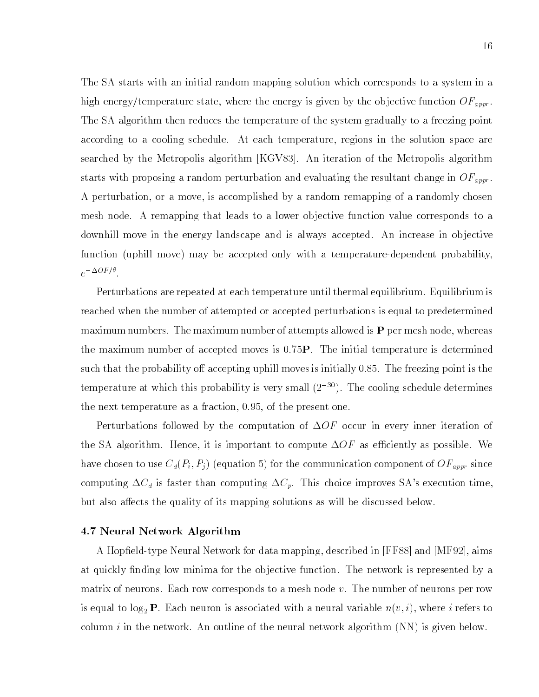The SA starts with an initial random mapping solution which corresponds to a system in a high energy/temperature state, where the energy is given by the objective function  $OF_{appr}$ . The SA algorithm then reduces the temperature of the system gradually to a freezing point according to a cooling schedule. At each temperature, regions in the solution space are searched by the Metropolis algorithm [KGV83]. An iteration of the Metropolis algorithm starts with proposing a random perturbation and evaluating the resultant change in  $OF_{appr}$ . A perturbation, or a move, is accomplished by a random remapping of a randomly chosen mesh node. A remapping that leads to a lower ob jective function value corresponds to a downhill move in the energy landscape and is always accepted. An increase in objective function (uphill move) may be accepted only with a temperature-dependent probability,  $e^{-\Delta OF/\theta}$ .

Perturbations are repeated at each temperature until thermal equilibrium. Equilibrium is reached when the number of attempted or accepted perturbations is equal to predetermined maximum numbers. The maximum number of attempts allowed is  $P$  per mesh node, whereas the maximum number of accepted moves is 0.75P. The initial temperature is determined such that the probability of accepting uphill moves is initially  $0.85$ . The freezing point is the temperature at which this probability is very small  $(2^{-30})$ . The cooling schedule determines the next temperature as a fraction, 0.95, of the present one.

Perturbations followed by the computation of  $\Delta OF$  occur in every inner iteration of the SA algorithm. Hence, it is important to compute  $\Delta OF$  as efficiently as possible. We have chosen to use  $C_d(P_i, P_j)$  (equation 5) for the communication component of  $\widehat{OF}_{appr}$  since computing  $\Delta C_d$  is faster than computing  $\Delta C_p$ . This choice improves SA's execution time, but also affects the quality of its mapping solutions as will be discussed below.

#### 4.7 Neural Network Algorithm

A Hopeld-type Neural Network for data mapping, described in [FF88] and [MF92], aims at quickly finding low minima for the objective function. The network is represented by a matrix of neurons. Each row corresponds to a mesh node  $v$ . The number of neurons per row is equal to  $\log_2$  **P**. Each neuron is associated with a neural variable  $n(v, i)$ , where i refers to column i in the network. An outline of the neural network algorithm  $(NN)$  is given below.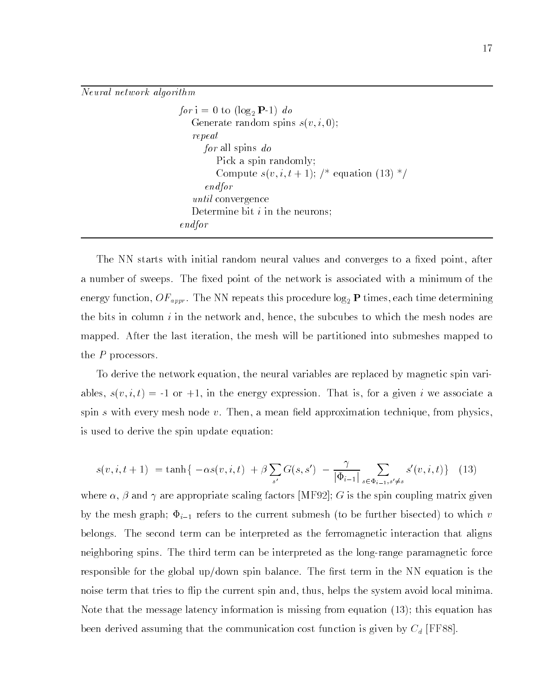Neural network algorithm

for  $i = 0$  to  $(\log_2 P-1)$  do Generate random spins  $s(v, i, 0);$ repeat for all spins do Pick a spin randomly; Compute  $s(v, i, t + 1)$ ; /\* equation (13) \*/ endfor until convergence Determine bit  $i$  in the neurons; endfor

The NN starts with initial random neural values and converges to a fixed point, after a number of sweeps. The fixed point of the network is associated with a minimum of the energy function,  $OF_{appr}$ . The NN repeats this procedure  $log_2$  P times, each time determining the bits in column  $i$  in the network and, hence, the subcubes to which the mesh nodes are mapped. After the last iteration, the mesh will be partitioned into submeshes mapped to the P processors.

To derive the network equation, the neural variables are replaced by magnetic spin variables,  $s(v, i, t) = -1$  or  $+1$ , in the energy expression. That is, for a given i we associate a spin s with every mesh node  $v$ . Then, a mean field approximation technique, from physics. is used to derive the spin update equation:

$$
s(v, i, t+1) = \tanh\{-\alpha s(v, i, t) + \beta \sum_{s'} G(s, s') - \frac{\gamma}{|\Phi_{i-1}|} \sum_{s \in \Phi_{i-1}, s' \neq s} s'(v, i, t)\} \tag{13}
$$

where  $\alpha$ ,  $\beta$  and  $\gamma$  are appropriate scaling factors MF92; G is the spin coupling matrix given by the mesh graph;  $\Phi_{i-1}$  refers to the current submesh (to be further bisected) to which v belongs. The second term can be interpreted as the ferromagnetic interaction that aligns neighboring spins. The third term can be interpreted as the long-range paramagnetic force responsible for the global up/down spin balance. The first term in the NN equation is the noise term that tries to flip the current spin and, thus, helps the system avoid local minima. Note that the message latency information is missing from equation (13); this equation has been derived assuming that the communication cost function is given by  $C_d$  [FF88].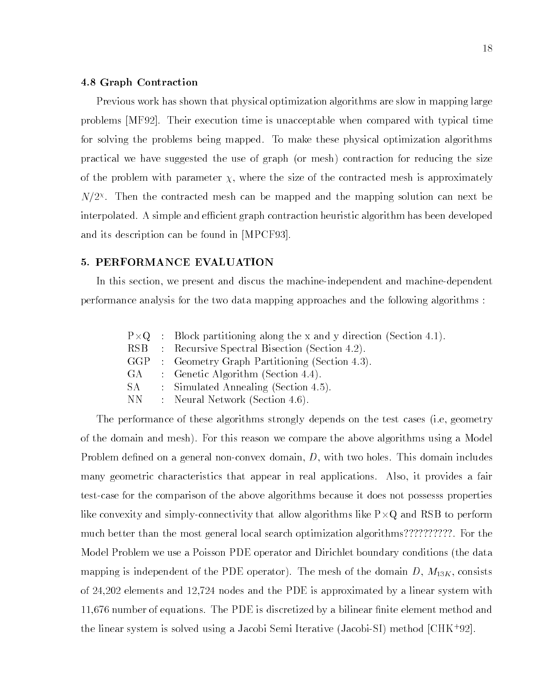# 4.8 Graph Contraction

Previous work has shown that physical optimization algorithms are slow in mapping large problems [MF92]. Their execution time is unacceptable when compared with typical time for solving the problems being mapped. To make these physical optimization algorithms practical we have suggested the use of graph (or mesh) contraction for reducing the size of the problem with parameter  $\chi$ , where the size of the contracted mesh is approximately  $N/Z^{\infty}$ . Then the contracted mesh can be mapped and the mapping solution can next be interpolated. A simple and efficient graph contraction heuristic algorithm has been developed and its description can be found in [MPCF93].

#### 5. PERFORMANCE EVALUATION

In this section, we present and discus the machine-independent and machine-dependent performance analysis for the two data mapping approaches and the following algorithms :

|      | $P \times Q$ : Block partitioning along the x and y direction (Section 4.1). |
|------|------------------------------------------------------------------------------|
|      | RSB : Recursive Spectral Bisection (Section 4.2).                            |
| GGP  | : Geometry Graph Partitioning (Section 4.3).                                 |
| GA – | : Genetic Algorithm (Section 4.4).                                           |
| SA.  | : Simulated Annealing (Section 4.5).                                         |
| NN.  | : Neural Network (Section 4.6).                                              |
|      |                                                                              |

The performance of these algorithms strongly depends on the test cases (i.e, geometry of the domain and mesh). For this reason we compare the above algorithms using a Model Problem defined on a general non-convex domain,  $D$ , with two holes. This domain includes many geometric characteristics that appear in real applications. Also, it provides a fair test-case for the comparison of the above algorithms because it does not possesss properties like convexity and simply-connectivity that allow algorithms like P-Q and RSB to perform much better than the most general local search optimization algorithms??????????. For the Model Problem we use a Poisson PDE operator and Dirichlet boundary conditions (the data mapping is independent of the PDE operator). The mesh of the domain  $D, M_{13K}$ , consists of 24,202 elements and 12,724 nodes and the PDE is approximated by a linear system with 11,676 number of equations. The PDE is discretized by a bilinear nite element method and the linear system is solved using a Jacobi Semi Iterative (Jacobi-SI) method [CHK<sup>+</sup> 92].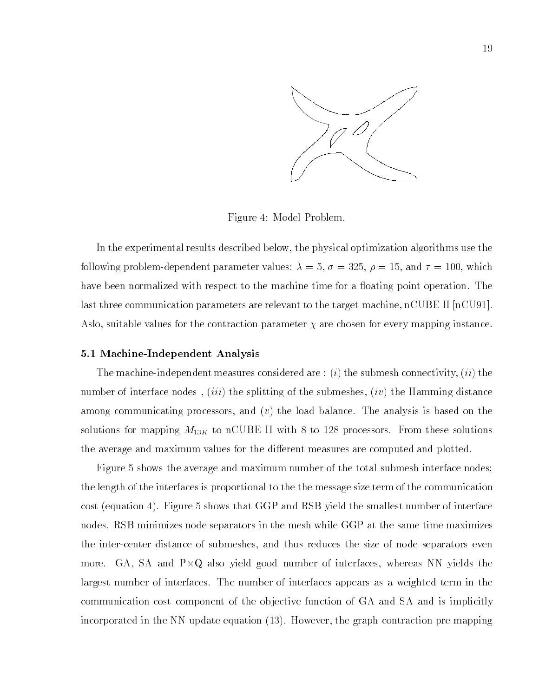

Figure 4: Model Problem.

In the experimental results described below, the physical optimization algorithms use the following problem-dependent parameter values:  $\lambda = 5$ ,  $\sigma = 325$ ,  $\rho = 15$ , and  $\tau = 100$ , which have been normalized with respect to the machine time for a floating point operation. The last three communication parameters are relevant to the target machine, nCUBE II [nCU91]. Aslo, suitable values for the contraction parameter  $\chi$  are chosen for every mapping instance.

# 5.1 Machine-Independent Analysis

The machine-independent measures considered are : (i) the submesh connectivity,  $(ii)$  the number of interface nodes,  $(iii)$  the splitting of the submeshes,  $(iv)$  the Hamming distance among communicating processors, and  $(v)$  the load balance. The analysis is based on the solutions for mapping  $M_{13K}$  to nCUBE II with 8 to 128 processors. From these solutions the average and maximum values for the different measures are computed and plotted.

Figure 5 shows the average and maximum number of the total submesh interface nodes; the length of the interfaces is proportional to the the message size term of the communication cost (equation 4). Figure 5 shows that GGP and RSB yield the smallest number of interface nodes. RSB minimizes node separators in the mesh while GGP at the same time maximizes the inter-center distance of submeshes, and thus reduces the size of node separators even more. GA, SA and P-Q also yield good number of interfaces, whereas NN yields the largest number of interfaces. The number of interfaces appears as a weighted term in the communication cost component of the ob jective function of GA and SA and is implicitly incorporated in the NN update equation (13). However, the graph contraction pre-mapping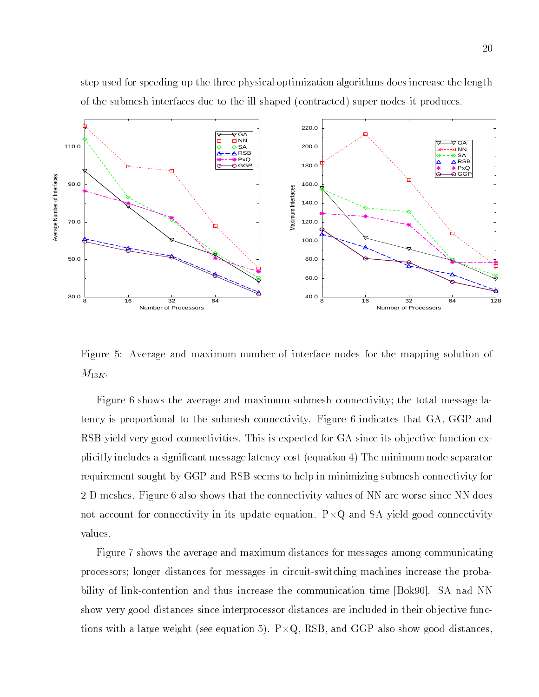20

step used for speeding-up the three physical optimization algorithms does increase the length of the submesh interfaces due to the ill-shaped (contracted) super-nodes it produces.



Figure 5: Average and maximum number of interface nodes for the mapping solution of  $M_{13K}.$ 

Figure 6 shows the average and maximum submesh connectivity; the total message latency is proportional to the submesh connectivity. Figure 6 indicates that GA, GGP and RSB yield very good connectivities. This is expected for GA since its objective function explicitly includes a signicant message latency cost (equation 4) The minimum node separator requirement sought by GGP and RSB seems to help in minimizing submesh connectivity for 2-D meshes. Figure 6 also shows that the connectivity values of NN are worse since NN does not account for connectivity in its update equation. P-Q and SA yield good connectivity values.

Figure 7 shows the average and maximum distances for messages among communicating processors; longer distances for messages in circuit-switching machines increase the probability of link-contention and thus increase the communication time [Bok90]. SA nad NN show very good distances since interprocessor distances are included in their ob jective functions with a large weight (see equation 5). P-Q, RSB, and GGP also show good distances,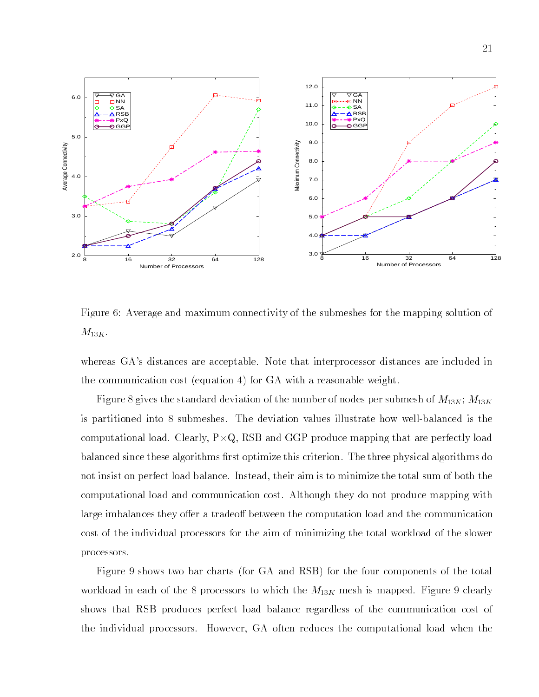

Figure 6: Average and maximum connectivity of the submeshes for the mapping solution of  $M_{13K}$ .

whereas GA's distances are acceptable. Note that interprocessor distances are included in the communication cost (equation 4) for GA with a reasonable weight.

Figure 8 gives the standard deviation of the number of nodes per submesh of  $M_{13K};\,M_{13K}$ is partitioned into 8 submeshes. The deviation values illustrate how well-balanced is the computational load. Clearly, P-RSB and GGP produce mapping that are perfectly load. Clearly,  $\alpha$ balanced since these algorithms first optimize this criterion. The three physical algorithms do not insist on perfect load balance. Instead, their aim is to minimize the total sum of both the computational load and communication cost. Although they do not produce mapping with large imbalances they offer a tradeoff between the computation load and the communication cost of the individual processors for the aim of minimizing the total workload of the slower processors.

Figure 9 shows two bar charts (for GA and RSB) for the four components of the total workload in each of the 8 processors to which the  $M_{13K}$  mesh is mapped. Figure 9 clearly shows that RSB produces perfect load balance regardless of the communication cost of the individual processors. However, GA often reduces the computational load when the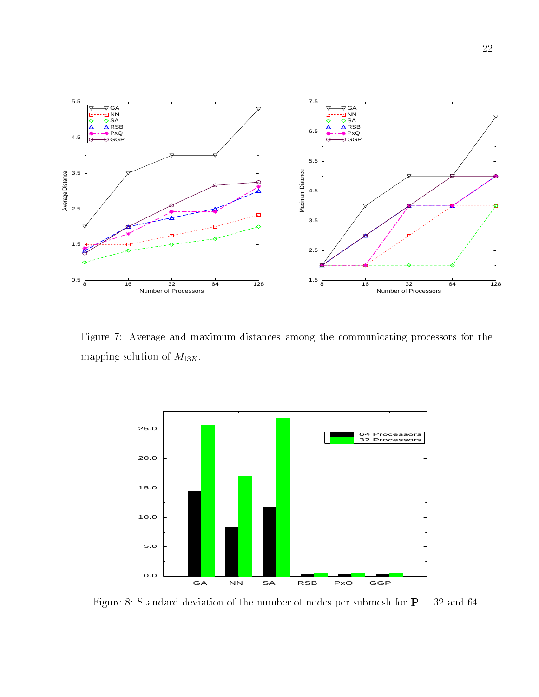

Figure 7: Average and maximum distances among the communicating processors for the mapping solution of  $M_{13K}$ .



Figure 8: Standard deviation of the number of nodes per submesh for  $P = 32$  and 64.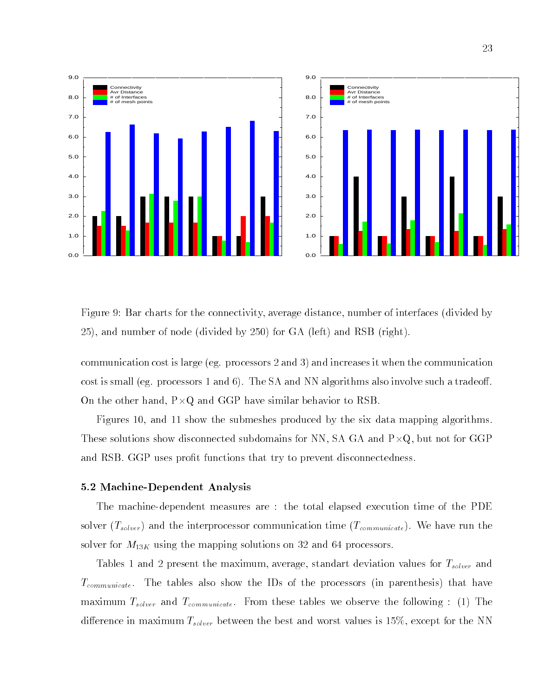

0.0

Figure 9: Bar charts for the connectivity, average distance, number of interfaces (divided by 25), and number of node (divided by 250) for GA (left) and RSB (right).

communication cost is large (eg. processors 2 and 3) and increases it when the communication cost is small (eg. processors 1 and 6). The SA and NN algorithms also involve such a tradeoff. On the other hand, P-Q and GGP have similar behavior to RSB.

Figures 10, and 11 show the submeshes produced by the six data mapping algorithms. These solutions show disconnected subdomains for NN, SA GA and P-Q, but not for GGP and RSB. GGP uses profit functions that try to prevent disconnectedness.

# 5.2 Machine-Dependent Analysis

-0.8 1.2 3.2 5.2 7.2

0.0

1.0

2.0

3.0

4.0

5.0

6.0

7.0

8.0

9.0

The machine-dependent measures are : the total elapsed execution time of the PDE solver  $(T_{solver})$  and the interprocessor communication time  $(T_{commuicate})$ . We have run the solver for  $M_{13K}$  using the mapping solutions on 32 and 64 processors.

Tables 1 and 2 present the maximum, average, standart deviation values for  $T_{solver}$  and  $T_{communicate}$ . The tables also show the IDs of the processors (in parenthesis) that have maximum  $T_{solver}$  and  $T_{communicate}$ . From these tables we observe the following : (1) The difference in maximum  $T_{solver}$  between the best and worst values is 15%, except for the NN

-0.8 1.2 3.2 5.2 7.2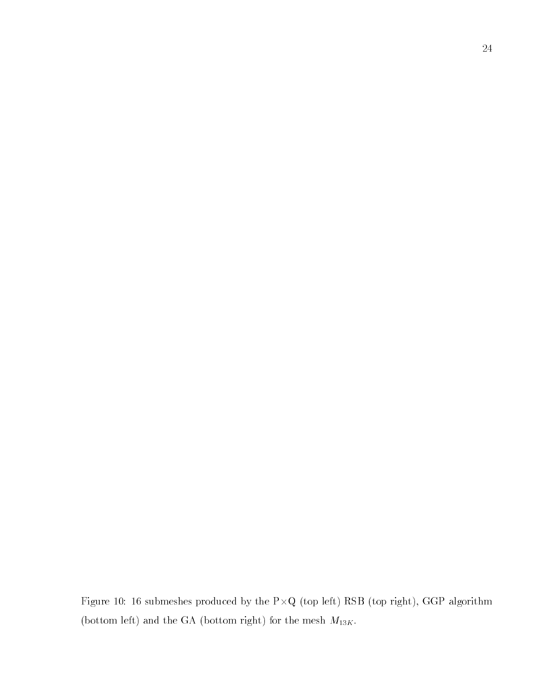Figure 10: 16 submetrial by the P-R (top right), German RSB (top right), German RSB (top right), German RSB (top right), German RSB (top right), German RSB (top right), German RSB (top right), German RSB (top right), Germ (bottom left) and the GA (bottom right) for the mesh  ${\cal M}_{13K}.$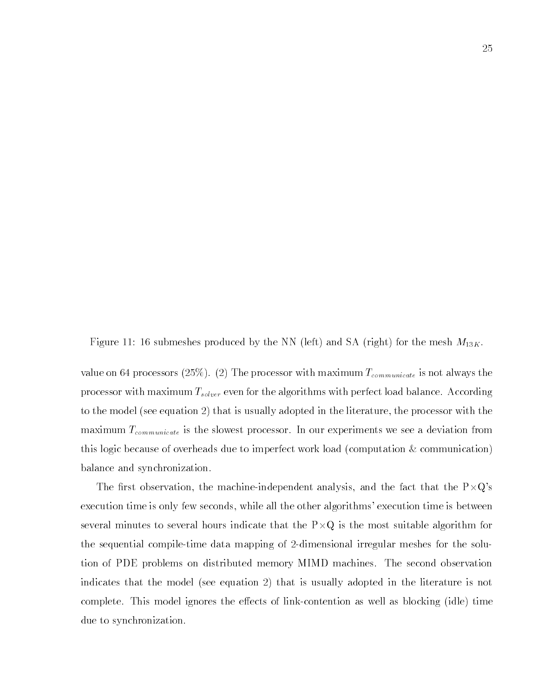Figure 11: 16 submeshes produced by the NN (left) and SA (right) for the mesh  $M_{13K}$ .

value on 64 processors (25%). (2) The processor with maximum  $T_{communicate}$  is not always the processor with maximum  $T_{solver}$  even for the algorithms with perfect load balance. According to the model (see equation 2) that is usually adopted in the literature, the processor with the maximum  $T_{communicate}$  is the slowest processor. In our experiments we see a deviation from this logic because of overheads due to imperfect work load (computation  $\&$  communication) balance and synchronization.

The first observation, the machine-independent analysis, and the fact that the  $P\times Q$ 's execution time is only few seconds, while all the other algorithms' execution time is between several minutes to several hours indicate that the P-Q is the most suitable algorithm for the sequential compile-time data mapping of 2-dimensional irregular meshes for the solution of PDE problems on distributed memory MIMD machines. The second observation indicates that the model (see equation 2) that is usually adopted in the literature is not complete. This model ignores the effects of link-contention as well as blocking (idle) time due to synchronization.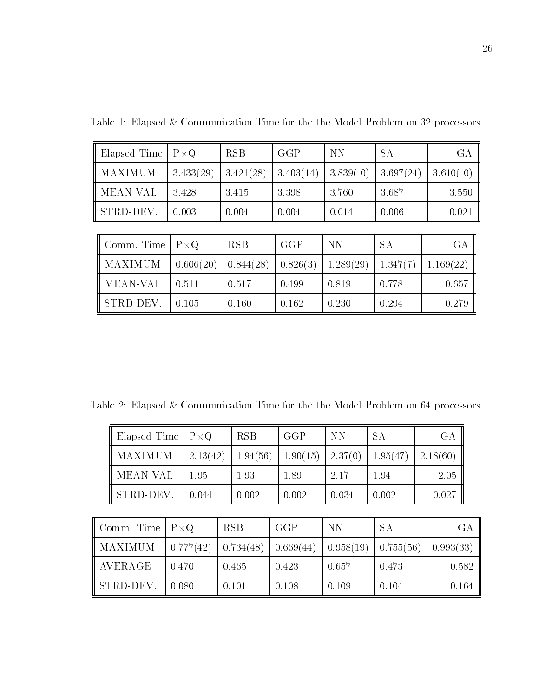| Elapsed Time | $P \times Q$ | <b>RSB</b> | GGP       | <b>NN</b> | <b>SA</b> | <b>GA</b> |
|--------------|--------------|------------|-----------|-----------|-----------|-----------|
| MAXIMUM      | 3.433(29)    | 3.421(28)  | 3.403(14) | 3.839(0)  | 3.697(24) | 3.610(0)  |
| MEAN-VAL     | 3.428        | 3.415      | 3.398     | 3.760     | 3.687     | 3.550     |
| STRD-DEV.    | 0.003        | 0.004      | 0.004     | 0.014     | 0.006     | 0.021     |
|              |              |            |           |           |           |           |
| Comm. Time   | $P \times Q$ | <b>RSB</b> | GGP       | <b>NN</b> | <b>SA</b> | <b>GA</b> |
| MAXIMUM      | 0.606(20)    | 0.844(28)  | 0.826(3)  | 1.289(29) | 1.347(7)  | 1.169(22) |
| MEAN-VAL     | 0.511        | 0.517      | 0.499     | 0.819     | 0.778     | 0.657     |
| STRD DEV.    | 0.105        | 0.160      | 0.162     | 0.230     | 0.294     | 0.279     |

Table 1: Elapsed & Communication Time for the the Model Problem on 32 processors.

Table 2: Elapsed & Communication Time for the the Model Problem on 64 processors.

|                | Elapsed Time                 | $P \times Q$ |           | <b>RSB</b> |          | GGP   | <b>NN</b>      | <b>SA</b> |           | <b>GA</b> |           |  |
|----------------|------------------------------|--------------|-----------|------------|----------|-------|----------------|-----------|-----------|-----------|-----------|--|
|                | MAXIMUM                      |              | 2.13(42)  |            | 1.94(56) |       | 1.90(15)       | 2.37(0)   | 1.95(47)  |           | 2.18(60)  |  |
|                | <b>MEAN-VAL</b><br>STRD-DEV. |              | 1.95      |            | 1.93     |       | 1.89           | 2.17      | 1.94      | 2.05      |           |  |
|                |                              |              | 0.044     |            | 0.002    |       | 0.002<br>0.034 |           | 0.002     |           | 0.027     |  |
|                |                              |              |           |            |          |       |                |           |           |           |           |  |
| Comm. Time     |                              | $P \times Q$ |           | <b>RSB</b> |          |       | GGP            | <b>NN</b> | <b>SA</b> |           | GA        |  |
| MAXIMUM        |                              |              | 0.777(42) | 0.734(48)  |          |       | 0.669(44)      | 0.958(19) | 0.755(56) |           | 0.993(33) |  |
| <b>AVERAGE</b> |                              |              | 0.470     |            | 0.465    | 0.423 |                | 0.657     | 0.473     |           | 0.582     |  |
| STRD-DEV.      |                              | 0.080        |           | 0.101      |          |       | 0.108          | 0.109     | 0.104     |           | 0.164     |  |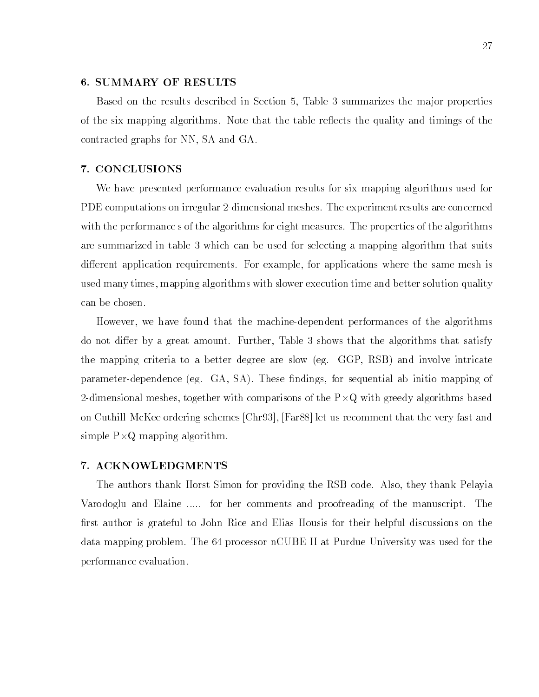# 6. SUMMARY OF RESULTS

Based on the results described in Section 5, Table 3 summarizes the ma jor properties of the six mapping algorithms. Note that the table reflects the quality and timings of the contracted graphs for NN, SA and GA.

## 7. CONCLUSIONS

We have presented performance evaluation results for six mapping algorithms used for PDE computations on irregular 2-dimensional meshes. The experiment results are concerned with the performance s of the algorithms for eight measures. The properties of the algorithms are summarized in table 3 which can be used for selecting a mapping algorithm that suits different application requirements. For example, for applications where the same mesh is used many times, mapping algorithms with slower execution time and better solution quality can be chosen.

However, we have found that the machine-dependent performances of the algorithms do not differ by a great amount. Further, Table 3 shows that the algorithms that satisfy the mapping criteria to a better degree are slow (eg. GGP, RSB) and involve intricate parameter-dependence (eg. GA, SA). These findings, for sequential ab initio mapping of  $2-4$ dimensional meshes, together with greedy algorithms based algorithms based algorithms based algorithms based algorithms based algorithms based algorithms based algorithms based algorithms based algorithms based algor on Cuthill-McKee ordering schemes [Chr93], [Far88] let us recomment that the very fast and simple P-2 mapping algorithm. The process of the process of the process of the process of the process of the p

## 7. ACKNOWLEDGMENTS

The authors thank Horst Simon for providing the RSB code. Also, they thank Pelayia Varodoglu and Elaine ..... for her comments and proofreading of the manuscript. The first author is grateful to John Rice and Elias Housis for their helpful discussions on the data mapping problem. The 64 processor nCUBE II at Purdue University was used for the performance evaluation.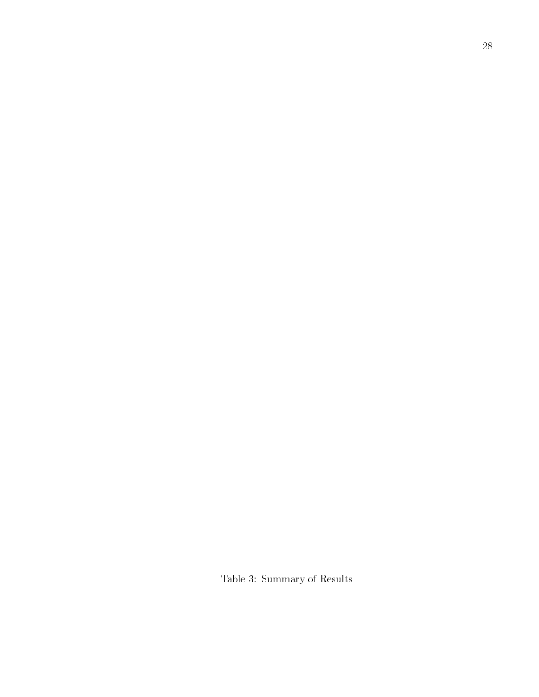Table 3: Summary of Results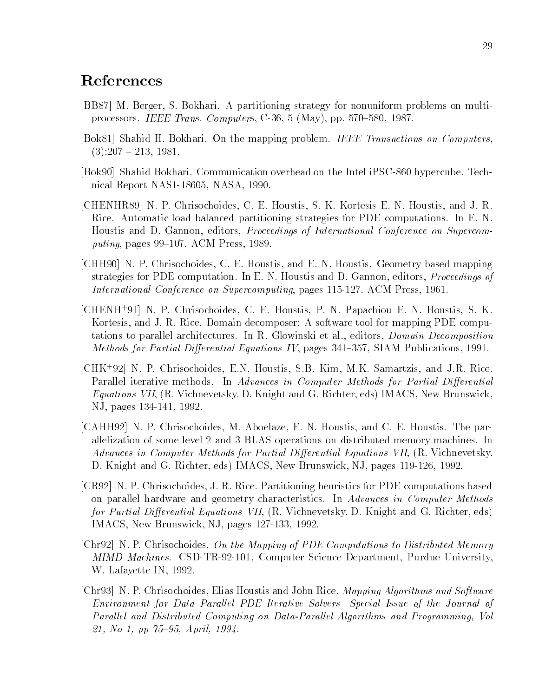# References

- [BB87] M. Berger, S. Bokhari. A partitioning strategy for nonuniform problems on multiprocessors. IEEE Trans. Computers, C-36, 5 (May), pp. 570-580, 1987.
- [Bok81] Shahid H. Bokhari. On the mapping problem. IEEE Transactions on Computers,  $(3):207 - 213, 1981.$
- [Bok90] Shahid Bokhari. Communication overhead on the Intel iPSC-860 hypercube. Technical Report NAS1-18605, NASA, 1990.
- [CHENHR89] N. P. Chrisochoides, C. E. Houstis, S. K. Kortesis E. N. Houstis, and J. R. Rice. Automatic load balanced partitioning strategies for PDE computations. In E. N. Houstis and D. Gannon, editors, *Proceedings of International Conference on Supercom*puting, pages  $99-107$ . ACM Press, 1989.
- [CHH90] N. P. Chrisochoides, C. E. Houstis, and E. N. Houstis. Geometry based mapping strategies for PDE computation. In E. N. Houstis and D. Gannon, editors, *Proceedings of* International Conference on Supercomputing, pages 115-127. ACM Press, 1961.
- [CHENH+ 91] N. P. Chrisochoides, C. E. Houstis, P. N. Papachiou E. N. Houstis, S. K. Kortesis, and J. R. Rice. Domain decomposer: A software tool for mapping PDE computations to parallel architectures. In R. Glowinski et al., editors, Domain Decomposition Methods for Partial Differential Equations IV, pages  $341-357$ , SIAM Publications, 1991.
- [CHK<sup>+</sup> 92] N. P. Chrisochoides, E.N. Houstis, S.B. Kim, M.K. Samartzis, and J.R. Rice. Parallel iterative methods. In Advances in Computer Methods for Partial Differential Equations VII, (R. Vichnevetsky. D. Knight and G. Richter, eds) IMACS, New Brunswick, NJ, pages 134-141, 1992.
- [CAHH92] N. P. Chrisochoides, M. Aboelaze, E. N. Houstis, and C. E. Houstis. The parallelization of some level 2 and 3 BLAS operations on distributed memory machines. In Advances in Computer Methods for Partial Differential Equations VII, (R. Vichnevetsky. D. Knight and G. Richter, eds) IMACS, New Brunswick, NJ, pages 119-126, 1992.
- [CR92] N. P. Chrisochoides, J. R. Rice. Partitioning heuristics for PDE computations based on parallel hardware and geometry characteristics. In Advances in Computer Methods for Partial Differential Equations VII, (R. Vichnevetsky, D. Knight and G. Richter, eds) IMACS, New Brunswick, NJ, pages 127-133, 1992.
- [Chr92] N. P. Chrisochoides. On the Mapping of PDE Computations to Distributed Memory MIMD Machines. CSD-TR-92-101, Computer Science Department, Purdue University, W. Lafayette IN, 1992.
- [Chr93] N. P. Chrisochoides, Elias Houstis and John Rice. Mapping Algorithms and Software Environment for Data Parallel PDE Iterative Solvers Special Issue of the Journal of Parallel and Distributed Computing on Data-Parallel Algorithms and Programming, Vol 21, No 1, pp  $75-95$ , April, 1994.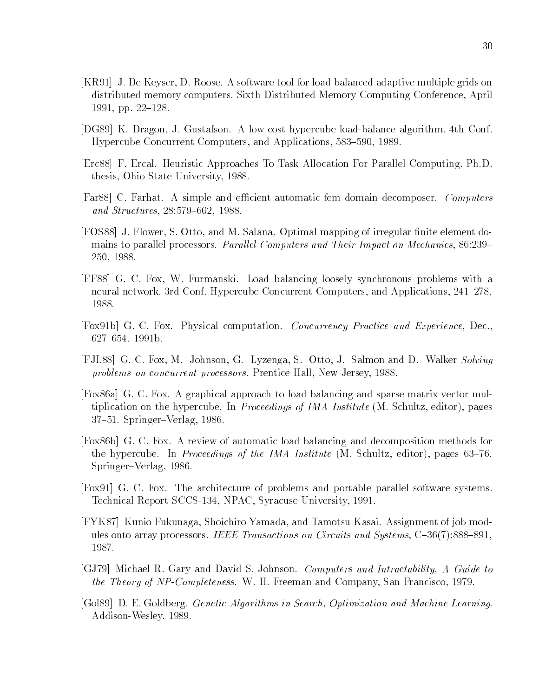- [KR91] J. De Keyser, D. Roose. A software tool for load balanced adaptive multiple grids on distributed memory computers. Sixth Distributed Memory Computing Conference, April 1991, pp. 22-128.
- [DG89] K. Dragon, J. Gustafson. A low cost hypercube load-balance algorithm. 4th Conf. Hypercube Concurrent Computers, and Applications, 583–590, 1989.
- [Erc88] F. Ercal. Heuristic Approaches To Task Allocation For Parallel Computing. Ph.D. thesis, Ohio State University, 1988.
- [Far88] C. Farhat. A simple and efficient automatic fem domain decomposer. *Computers* and Structures, 28:579-602, 1988.
- [FOS88] J. Flower, S. Otto, and M. Salana. Optimal mapping of irregular finite element domains to parallel processors. Parallel Computers and Their Impact on Mechanics, 86:239– 250, 1988.
- [FF88] G. C. Fox, W. Furmanski. Load balancing loosely synchronous problems with a neural network. 3rd Conf. Hypercube Concurrent Computers, and Applications, 241–278, 1988.
- [Fox91b] G. C. Fox. Physical computation. Concurrency Practice and Experience, Dec., 627-654. 1991b.
- [FJL88] G. C. Fox, M. Johnson, G. Lyzenga, S. Otto, J. Salmon and D. Walker Solving problems on concurrent processors. Prentice Hall, New Jersey, 1988.
- [Fox86a] G. C. Fox. A graphical approach to load balancing and sparse matrix vector multiplication on the hypercube. In *Proceedings of IMA Institute* (M. Schultz, editor), pages 37-51. Springer-Verlag, 1986.
- [Fox86b] G. C. Fox. A review of automatic load balancing and decomposition methods for the hypercube. In Proceedings of the IMA Institute  $(M.$  Schultz, editor), pages 63–76. Springer-Verlag, 1986.
- [Fox91] G. C. Fox. The architecture of problems and portable parallel software systems. Technical Report SCCS-134, NPAC, Syracuse University, 1991.
- [FYK87] Kunio Fukunaga, Shoichiro Yamada, and Tamotsu Kasai. Assignment of job modules onto array processors. IEEE Transactions on Circuits and Systems,  $C{-}36(7):888{-}891$ , 1987.
- [GJ79] Michael R. Gary and David S. Johnson. Computers and Intractability, A Guide to the Theory of NP-Completeness. W. H. Freeman and Company, San Francisco, 1979.
- [Gol89] D. E. Goldberg. Genetic Algorithms in Search, Optimization and Machine Learning. Addison-Wesley. 1989.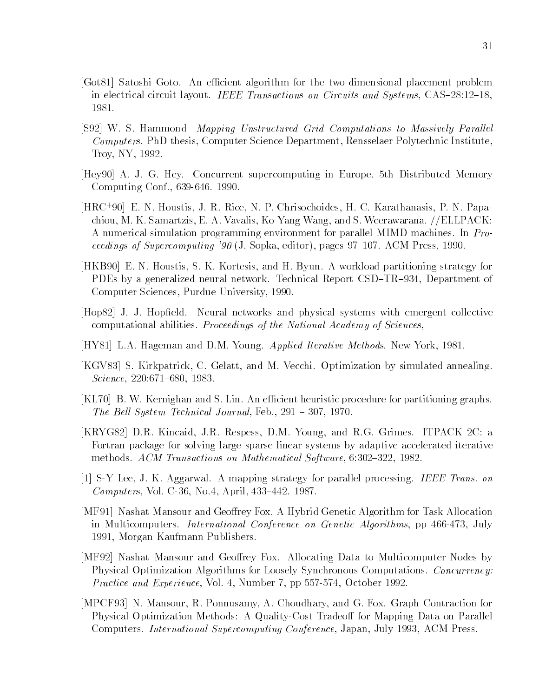- [Got81] Satoshi Goto. An efficient algorithm for the two-dimensional placement problem in electrical circuit layout. *IEEE Transactions on Circuits and Systems*,  $\text{CAS}-28:12-18$ , 1981.
- [S92] W. S. Hammond *Mapping Unstructured Grid Computations to Massively Parallel* Computers. PhD thesis, Computer Science Department, Rensselaer Polytechnic Institute, Troy, NY, 1992.
- [Hey90] A. J. G. Hey. Concurrent supercomputing in Europe. 5th Distributed Memory Computing Conf., 639-646. 1990.
- [HRC+ 90] E. N. Houstis, J. R. Rice, N. P. Chrisochoides, H. C. Karathanasis, P. N. Papachiou, M. K. Samartzis, E. A. Vavalis, Ko-Yang Wang, and S. Weerawarana. //ELLPACK: A numerical simulation programming environment for parallel MIMD machines. In Proceedings of Supercomputing '90 (J. Sopka, editor), pages  $97-107$ . ACM Press, 1990.
- [HKB90] E. N. Houstis, S. K. Kortesis, and H. Byun. A workload partitioning strategy for PDEs by a generalized neural network. Technical Report CSD-TR-934, Department of Computer Sciences, Purdue University, 1990.
- [Hop82] J. J. Hopfield. Neural networks and physical systems with emergent collective computational abilities. Proceedings of the National Academy of Sciences,
- [HY81] L.A. Hageman and D.M. Young. Applied Iterative Methods. New York, 1981.
- [KGV83] S. Kirkpatrick, C. Gelatt, and M. Vecchi. Optimization by simulated annealing.  $Science, 220:671-680, 1983.$
- [KL70] B. W. Kernighan and S. Lin. An efficient heuristic procedure for partitioning graphs. The Bell System Technical Journal, Feb.,  $291 - 307$ , 1970.
- [KRYG82] D.R. Kincaid, J.R. Respess, D.M. Young, and R.G. Grimes. ITPACK 2C: a Fortran package for solving large sparse linear systems by adaptive accelerated iterative methods. ACM Transactions on Mathematical Software,  $6:302-322$ , 1982.
- [1] S-Y Lee, J. K. Aggarwal. A mapping strategy for parallel processing. IEEE Trans. on Computers, Vol. C-36, No.4, April,  $433-442$ . 1987.
- [MF91] Nashat Mansour and Geoffrey Fox. A Hybrid Genetic Algorithm for Task Allocation in Multicomputers. International Conference on Genetic Algorithms, pp 466-473, July 1991, Morgan Kaufmann Publishers.
- [MF92] Nashat Mansour and Geoffrey Fox. Allocating Data to Multicomputer Nodes by Physical Optimization Algorithms for Loosely Synchronous Computations. Concurrency: Practice and Experience, Vol. 4, Number 7, pp 557-574, October 1992.
- [MPCF93] N. Mansour, R. Ponnusamy, A. Choudhary, and G. Fox. Graph Contraction for Physical Optimization Methods: A Quality-Cost Tradeoff for Mapping Data on Parallel Computers. International Supercomputing Conference, Japan, July 1993, ACM Press.